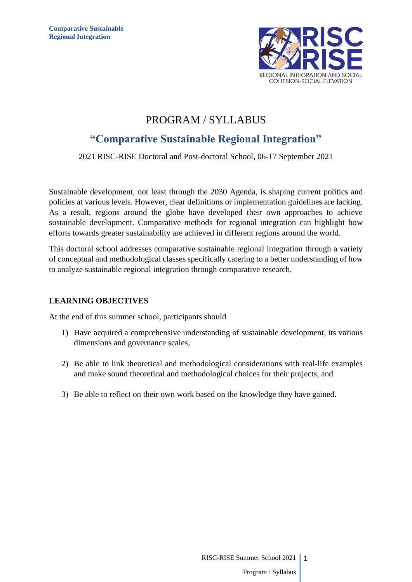

## PROGRAM / SYLLABUS

# **"Comparative Sustainable Regional Integration"**

## 2021 RISC-RISE Doctoral and Post-doctoral School, 06-17 September 2021

Sustainable development, not least through the 2030 Agenda, is shaping current politics and policies at various levels. However, clear definitions or implementation guidelines are lacking. As a result, regions around the globe have developed their own approaches to achieve sustainable development. Comparative methods for regional integration can highlight how efforts towards greater sustainability are achieved in different regions around the world.

This doctoral school addresses comparative sustainable regional integration through a variety of conceptual and methodological classes specifically catering to a better understanding of how to analyze sustainable regional integration through comparative research.

## **LEARNING OBJECTIVES**

At the end of this summer school, participants should

- 1) Have acquired a comprehensive understanding of sustainable development, its various dimensions and governance scales,
- 2) Be able to link theoretical and methodological considerations with real-life examples and make sound theoretical and methodological choices for their projects, and
- 3) Be able to reflect on their own work based on the knowledge they have gained.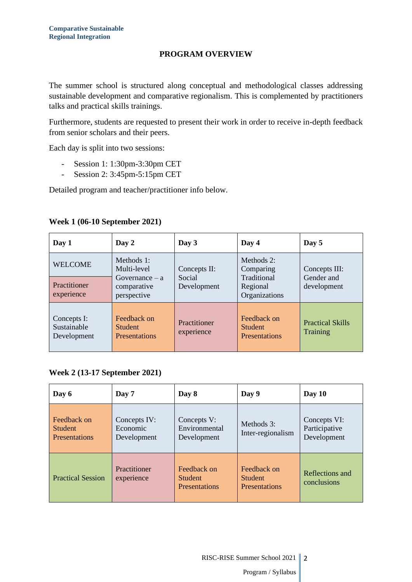## **PROGRAM OVERVIEW**

The summer school is structured along conceptual and methodological classes addressing sustainable development and comparative regionalism. This is complemented by practitioners talks and practical skills trainings.

Furthermore, students are requested to present their work in order to receive in-depth feedback from senior scholars and their peers.

Each day is split into two sessions:

- Session 1: 1:30pm-3:30pm CET
- Session 2: 3:45pm-5:15pm CET

Detailed program and teacher/practitioner info below.

| Day 1                                     | Day 2                                                 | Day 3                      | Day 4                                                 | Day 5                                      |
|-------------------------------------------|-------------------------------------------------------|----------------------------|-------------------------------------------------------|--------------------------------------------|
| <b>WELCOME</b>                            | Methods $1:$<br>Multi-level<br>$Govername{name} - a$  | Concepts II:<br>Social     | Methods $2$ :<br>Comparing<br>Traditional             | Concepts III:<br>Gender and                |
| Practitioner<br>experience                | comparative<br>perspective                            | Development                | Regional<br>Organizations                             | development                                |
| Concepts I:<br>Sustainable<br>Development | Feedback on<br><b>Student</b><br><b>Presentations</b> | Practitioner<br>experience | Feedback on<br><b>Student</b><br><b>Presentations</b> | <b>Practical Skills</b><br><b>Training</b> |

## **Week 1 (06-10 September 2021)**

#### **Week 2 (13-17 September 2021)**

| Day 6                                                 | Day 7                                   | Day 8                                                 | Day 9                                                 | Day $10$                                     |
|-------------------------------------------------------|-----------------------------------------|-------------------------------------------------------|-------------------------------------------------------|----------------------------------------------|
| Feedback on<br><b>Student</b><br><b>Presentations</b> | Concepts IV:<br>Economic<br>Development | Concepts V:<br>Environmental<br>Development           | Methods 3:<br>Inter-regionalism                       | Concepts VI:<br>Participative<br>Development |
| <b>Practical Session</b>                              | Practitioner<br>experience              | Feedback on<br><b>Student</b><br><b>Presentations</b> | Feedback on<br><b>Student</b><br><b>Presentations</b> | Reflections and<br>conclusions               |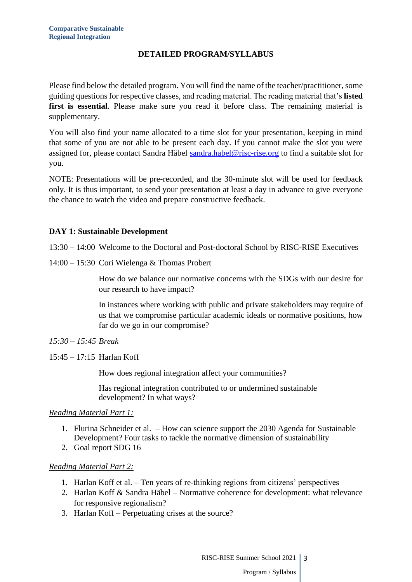## **DETAILED PROGRAM/SYLLABUS**

Please find below the detailed program. You will find the name of the teacher/practitioner, some guiding questions for respective classes, and reading material. The reading material that's **listed first is essential**. Please make sure you read it before class. The remaining material is supplementary.

You will also find your name allocated to a time slot for your presentation, keeping in mind that some of you are not able to be present each day. If you cannot make the slot you were assigned for, please contact Sandra Häbel [sandra.habel@risc-rise.org](mailto:sandra.habel@risc-rise.org) to find a suitable slot for you.

NOTE: Presentations will be pre-recorded, and the 30-minute slot will be used for feedback only. It is thus important, to send your presentation at least a day in advance to give everyone the chance to watch the video and prepare constructive feedback.

### **DAY 1: Sustainable Development**

13:30 – 14:00 Welcome to the Doctoral and Post-doctoral School by RISC-RISE Executives

14:00 – 15:30 Cori Wielenga & Thomas Probert

How do we balance our normative concerns with the SDGs with our desire for our research to have impact?

In instances where working with public and private stakeholders may require of us that we compromise particular academic ideals or normative positions, how far do we go in our compromise?

- *15:30 – 15:45 Break*
- 15:45 17:15 Harlan Koff

How does regional integration affect your communities?

Has regional integration contributed to or undermined sustainable development? In what ways?

#### *Reading Material Part 1:*

- 1. Flurina Schneider et al. How can science support the 2030 Agenda for Sustainable Development? Four tasks to tackle the normative dimension of sustainability
- 2. Goal report SDG 16

## *Reading Material Part 2:*

- 1. Harlan Koff et al. Ten years of re-thinking regions from citizens' perspectives
- 2. Harlan Koff & Sandra Häbel Normative coherence for development: what relevance for responsive regionalism?
- 3. Harlan Koff Perpetuating crises at the source?

RISC-RISE Summer School 2021 || 3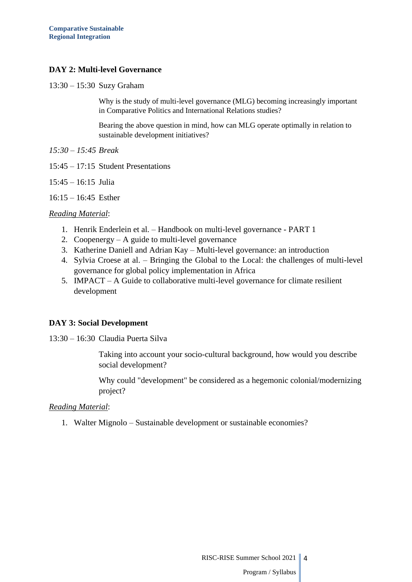## **DAY 2: Multi-level Governance**

13:30 – 15:30 Suzy Graham

Why is the study of multi-level governance (MLG) becoming increasingly important in Comparative Politics and International Relations studies?

Bearing the above question in mind, how can MLG operate optimally in relation to sustainable development initiatives?

*15:30 – 15:45 Break*

- 15:45 17:15 Student Presentations
- 15:45 16:15 Julia
- 16:15 16:45 Esther

#### *Reading Material*:

- 1. Henrik Enderlein et al. Handbook on multi-level governance PART 1
- 2. Coopenergy A guide to multi-level governance
- 3. Katherine Daniell and Adrian Kay Multi-level governance: an introduction
- 4. Sylvia Croese at al. Bringing the Global to the Local: the challenges of multi-level governance for global policy implementation in Africa
- 5. IMPACT A Guide to collaborative multi-level governance for climate resilient development

## **DAY 3: Social Development**

13:30 – 16:30 Claudia Puerta Silva

Taking into account your socio-cultural background, how would you describe social development?

Why could "development" be considered as a hegemonic colonial/modernizing project?

#### *Reading Material*:

1. Walter Mignolo – Sustainable development or sustainable economies?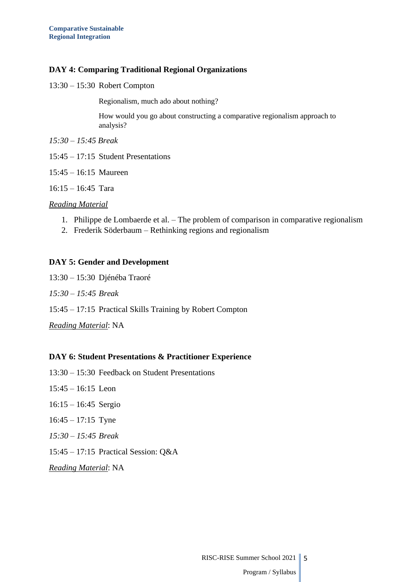## **DAY 4: Comparing Traditional Regional Organizations**

13:30 – 15:30 Robert Compton

Regionalism, much ado about nothing?

How would you go about constructing a comparative regionalism approach to analysis?

*15:30 – 15:45 Break*

- 15:45 17:15 Student Presentations
- 15:45 16:15 Maureen
- 16:15 16:45 Tara

#### *Reading Material*

- 1. Philippe de Lombaerde et al. The problem of comparison in comparative regionalism
- 2. Frederik Söderbaum Rethinking regions and regionalism

#### **DAY 5: Gender and Development**

13:30 – 15:30 Djénéba Traoré *15:30 – 15:45 Break* 15:45 – 17:15 Practical Skills Training by Robert Compton *Reading Material*: NA

#### **DAY 6: Student Presentations & Practitioner Experience**

- 13:30 15:30 Feedback on Student Presentations
- 15:45 16:15 Leon
- 16:15 16:45 Sergio
- 16:45 17:15 Tyne
- *15:30 – 15:45 Break*
- 15:45 17:15 Practical Session: Q&A

*Reading Material*: NA

## RISC-RISE Summer School 2021 || 5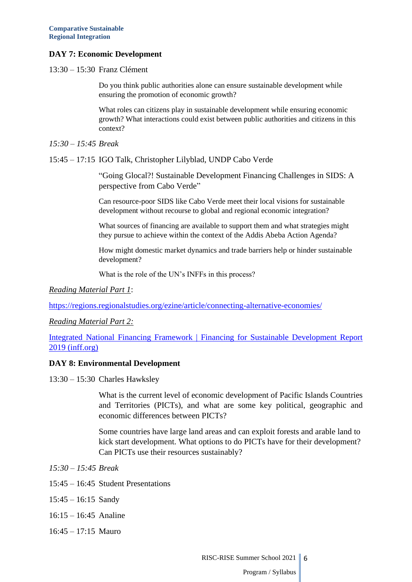## **DAY 7: Economic Development**

13:30 – 15:30 Franz Clément

Do you think public authorities alone can ensure sustainable development while ensuring the promotion of economic growth?

What roles can citizens play in sustainable development while ensuring economic growth? What interactions could exist between public authorities and citizens in this context?

*15:30 – 15:45 Break*

15:45 – 17:15 IGO Talk, Christopher Lilyblad, UNDP Cabo Verde

"Going Glocal?! Sustainable Development Financing Challenges in SIDS: A perspective from Cabo Verde"

Can resource-poor SIDS like Cabo Verde meet their local visions for sustainable development without recourse to global and regional economic integration?

What sources of financing are available to support them and what strategies might they pursue to achieve within the context of the Addis Abeba Action Agenda?

How might domestic market dynamics and trade barriers help or hinder sustainable development?

What is the role of the UN's INFFs in this process?

*Reading Material Part 1*:

<https://regions.regionalstudies.org/ezine/article/connecting-alternative-economies/>

*Reading Material Part 2:*

[Integrated National Financing Framework | Financing for Sustainable Development Report](https://na01.safelinks.protection.outlook.com/?url=https%3A%2F%2Finff.org%2Fresource%2Ffinancing-for-sustainable-development-report-2019&data=04%7C01%7C%7C688edf6f4185414ed52408d972292d14%7C84df9e7fe9f640afb435aaaaaaaaaaaa%7C1%7C0%7C637666343444416981%7CUnknown%7CTWFpbGZsb3d8eyJWIjoiMC4wLjAwMDAiLCJQIjoiV2luMzIiLCJBTiI6Ik1haWwiLCJXVCI6Mn0%3D%7C1000&sdata=sm0yVNYUAgIaZFS%2BKX%2BnZ%2FV51Ew92e68jJ2j%2BC0JuYk%3D&reserved=0)  [2019 \(inff.org\)](https://na01.safelinks.protection.outlook.com/?url=https%3A%2F%2Finff.org%2Fresource%2Ffinancing-for-sustainable-development-report-2019&data=04%7C01%7C%7C688edf6f4185414ed52408d972292d14%7C84df9e7fe9f640afb435aaaaaaaaaaaa%7C1%7C0%7C637666343444416981%7CUnknown%7CTWFpbGZsb3d8eyJWIjoiMC4wLjAwMDAiLCJQIjoiV2luMzIiLCJBTiI6Ik1haWwiLCJXVCI6Mn0%3D%7C1000&sdata=sm0yVNYUAgIaZFS%2BKX%2BnZ%2FV51Ew92e68jJ2j%2BC0JuYk%3D&reserved=0)

#### **DAY 8: Environmental Development**

13:30 – 15:30 Charles Hawksley

What is the current level of economic development of Pacific Islands Countries and Territories (PICTs), and what are some key political, geographic and economic differences between PICTs?

Some countries have large land areas and can exploit forests and arable land to kick start development. What options to do PICTs have for their development? Can PICTs use their resources sustainably?

- *15:30 – 15:45 Break*
- 15:45 16:45 Student Presentations
- 15:45 16:15 Sandy
- 16:15 16:45 Analine
- 16:45 17:15 Mauro

RISC-RISE Summer School 2021 6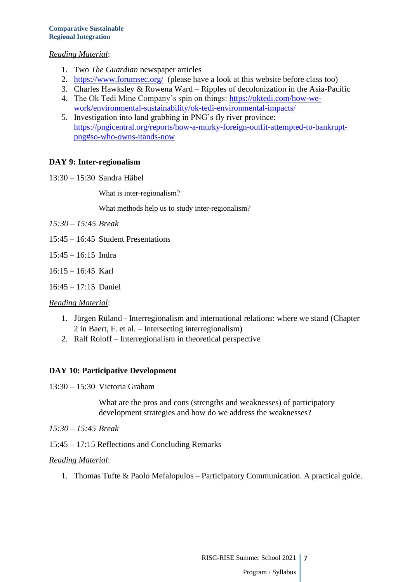### *Reading Material*:

- 1. Two *The Guardian* newspaper articles
- 2. <https://www.forumsec.org/>(please have a look at this website before class too)
- 3. Charles Hawksley & Rowena Ward Ripples of decolonization in the Asia-Pacific
- 4. The Ok Tedi Mine Company's spin on things: [https://oktedi.com/how-we](https://oktedi.com/how-we-work/environmental-sustainability/ok-tedi-environmental-impacts/)[work/environmental-sustainability/ok-tedi-environmental-impacts/](https://oktedi.com/how-we-work/environmental-sustainability/ok-tedi-environmental-impacts/)
- 5. Investigation into land grabbing in PNG's fly river province: [https://pngicentral.org/reports/how-a-murky-foreign-outfit-attempted-to-bankrupt](https://pngicentral.org/reports/how-a-murky-foreign-outfit-attempted-to-bankrupt-png#so-who-owns-itands-now)[png#so-who-owns-itands-now](https://pngicentral.org/reports/how-a-murky-foreign-outfit-attempted-to-bankrupt-png#so-who-owns-itands-now)

### **DAY 9: Inter-regionalism**

13:30 – 15:30 Sandra Häbel

What is inter-regionalism?

What methods help us to study inter-regionalism?

- *15:30 – 15:45 Break*
- 15:45 16:45 Student Presentations
- 15:45 16:15 Indra
- 16:15 16:45 Karl
- 16:45 17:15 Daniel

#### *Reading Material*:

- 1. Jürgen Rüland Interregionalism and international relations: where we stand (Chapter 2 in Baert, F. et al. – Intersecting interregionalism)
- 2. Ralf Roloff Interregionalism in theoretical perspective

#### **DAY 10: Participative Development**

13:30 – 15:30 Victoria Graham

What are the pros and cons (strengths and weaknesses) of participatory development strategies and how do we address the weaknesses?

- *15:30 – 15:45 Break*
- 15:45 17:15 Reflections and Concluding Remarks

#### *Reading Material*:

1. Thomas Tufte & Paolo Mefalopulos – Participatory Communication. A practical guide.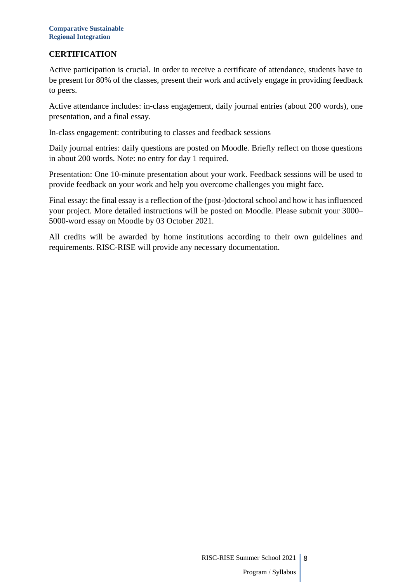## **CERTIFICATION**

Active participation is crucial. In order to receive a certificate of attendance, students have to be present for 80% of the classes, present their work and actively engage in providing feedback to peers.

Active attendance includes: in-class engagement, daily journal entries (about 200 words), one presentation, and a final essay.

In-class engagement: contributing to classes and feedback sessions

Daily journal entries: daily questions are posted on Moodle. Briefly reflect on those questions in about 200 words. Note: no entry for day 1 required.

Presentation: One 10-minute presentation about your work. Feedback sessions will be used to provide feedback on your work and help you overcome challenges you might face.

Final essay: the final essay is a reflection of the (post-)doctoral school and how it has influenced your project. More detailed instructions will be posted on Moodle. Please submit your 3000– 5000-word essay on Moodle by 03 October 2021.

All credits will be awarded by home institutions according to their own guidelines and requirements. RISC-RISE will provide any necessary documentation.

## RISC-RISE Summer School 2021 || 8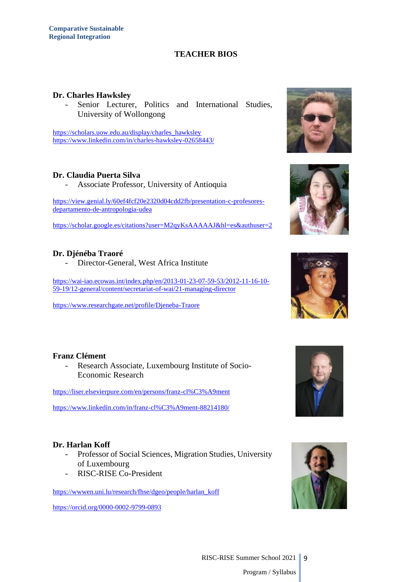## **TEACHER BIOS**

#### **Dr. Charles Hawksley**

Senior Lecturer, Politics and International Studies, University of Wollongong

[https://scholars.uow.edu.au/display/charles\\_hawksley](https://scholars.uow.edu.au/display/charles_hawksley) <https://www.linkedin.com/in/charles-hawksley-02658443/>

#### **Dr. Claudia Puerta Silva**

- Associate Professor, University of Antioquia

[https://view.genial.ly/60ef4fcf20e2320d04cdd2fb/presentation-c-profesores](https://view.genial.ly/60ef4fcf20e2320d04cdd2fb/presentation-c-profesores-departamento-de-antropologia-udea)[departamento-de-antropologia-udea](https://view.genial.ly/60ef4fcf20e2320d04cdd2fb/presentation-c-profesores-departamento-de-antropologia-udea)

[https://scholar.google.es/citations?user=M2qyKsAAAAAJ&hl=es&authuser=2](https://na01.safelinks.protection.outlook.com/?url=https%3A%2F%2Fscholar.google.es%2Fcitations%3Fuser%3DM2qyKsAAAAAJ%26hl%3Des%26authuser%3D2&data=04%7C01%7C%7Cd7d0c5b12a914a4bf25108d96e4a5153%7C84df9e7fe9f640afb435aaaaaaaaaaaa%7C1%7C0%7C637662087749233222%7CUnknown%7CTWFpbGZsb3d8eyJWIjoiMC4wLjAwMDAiLCJQIjoiV2luMzIiLCJBTiI6Ik1haWwiLCJXVCI6Mn0%3D%7C1000&sdata=%2BCqWQYM4GMIpvlwgFhF1sK5WwWjh%2BabC7Xta69VeRcc%3D&reserved=0)

## **Dr. Djénéba Traoré**

- Director-General, West Africa Institute

[https://wai-iao.ecowas.int/index.php/en/2013-01-23-07-59-53/2012-11-16-10-](https://wai-iao.ecowas.int/index.php/en/2013-01-23-07-59-53/2012-11-16-10-59-19/12-general/content/secretariat-of-wai/21-managing-director) [59-19/12-general/content/secretariat-of-wai/21-managing-director](https://wai-iao.ecowas.int/index.php/en/2013-01-23-07-59-53/2012-11-16-10-59-19/12-general/content/secretariat-of-wai/21-managing-director)

<https://www.researchgate.net/profile/Djeneba-Traore>







#### **Franz Clément**

- Research Associate, Luxembourg Institute of Socio-Economic Research

<https://liser.elsevierpure.com/en/persons/franz-cl%C3%A9ment>

<https://www.linkedin.com/in/franz-cl%C3%A9ment-88214180/>

#### **Dr. Harlan Koff**

- Professor of Social Sciences, Migration Studies, University of Luxembourg
- RISC-RISE Co-President

[https://wwwen.uni.lu/research/fhse/dgeo/people/harlan\\_koff](https://wwwen.uni.lu/research/fhse/dgeo/people/harlan_koff)

<https://orcid.org/0000-0002-9799-0893>



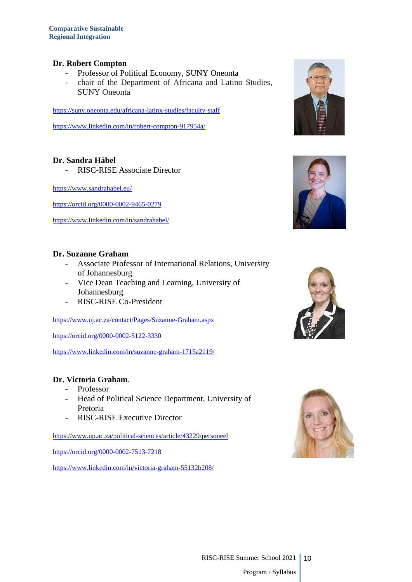#### **Dr. Robert Compton**

- Professor of Political Economy, SUNY Oneonta
- chair of the Department of Africana and Latino Studies, SUNY Oneonta

<https://suny.oneonta.edu/africana-latinx-studies/faculty-staff>

<https://www.linkedin.com/in/robert-compton-917954a/>

#### **Dr. Sandra Häbel**

- RISC-RISE Associate Director

<https://www.sandrahabel.eu/>

<https://orcid.org/0000-0002-9465-0279>

<https://www.linkedin.com/in/sandrahabel/>

#### **Dr. Suzanne Graham**

- Associate Professor of International Relations, University of Johannesburg
- Vice Dean Teaching and Learning, University of Johannesburg
- RISC-RISE Co-President

<https://www.uj.ac.za/contact/Pages/Suzanne-Graham.aspx>

<https://orcid.org/0000-0002-5122-3330>

<https://www.linkedin.com/in/suzanne-graham-1715a2119/>

## **Dr. Victoria Graham**.

- Professor
- Head of Political Science Department, University of Pretoria
- RISC-RISE Executive Director

<https://www.up.ac.za/political-sciences/article/43229/personeel>

<https://orcid.org/0000-0002-7513-7218>

<https://www.linkedin.com/in/victoria-graham-55132b208/>







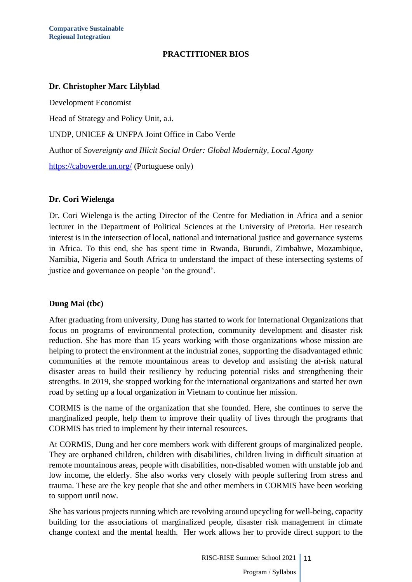## **PRACTITIONER BIOS**

## **Dr. Christopher Marc Lilyblad**

Development Economist Head of Strategy and Policy Unit, a.i. UNDP, UNICEF & UNFPA Joint Office in Cabo Verde Author of *Sovereignty and Illicit Social Order: Global Modernity, Local Agony* <https://caboverde.un.org/> (Portuguese only)

## **Dr. Cori Wielenga**

Dr. Cori Wielenga is the acting Director of the Centre for Mediation in Africa and a senior lecturer in the Department of Political Sciences at the University of Pretoria. Her research interest is in the intersection of local, national and international justice and governance systems in Africa. To this end, she has spent time in Rwanda, Burundi, Zimbabwe, Mozambique, Namibia, Nigeria and South Africa to understand the impact of these intersecting systems of justice and governance on people 'on the ground'.

#### **Dung Mai (tbc)**

After graduating from university, Dung has started to work for International Organizations that focus on programs of environmental protection, community development and disaster risk reduction. She has more than 15 years working with those organizations whose mission are helping to protect the environment at the industrial zones, supporting the disadvantaged ethnic communities at the remote mountainous areas to develop and assisting the at-risk natural disaster areas to build their resiliency by reducing potential risks and strengthening their strengths. In 2019, she stopped working for the international organizations and started her own road by setting up a local organization in Vietnam to continue her mission.

CORMIS is the name of the organization that she founded. Here, she continues to serve the marginalized people, help them to improve their quality of lives through the programs that CORMIS has tried to implement by their internal resources.

At CORMIS, Dung and her core members work with different groups of marginalized people. They are orphaned children, children with disabilities, children living in difficult situation at remote mountainous areas, people with disabilities, non-disabled women with unstable job and low income, the elderly. She also works very closely with people suffering from stress and trauma. These are the key people that she and other members in CORMIS have been working to support until now.

She has various projects running which are revolving around upcycling for well-being, capacity building for the associations of marginalized people, disaster risk management in climate change context and the mental health. Her work allows her to provide direct support to the

> RISC-RISE Summer School 2021 || 11 Program / Syllabus